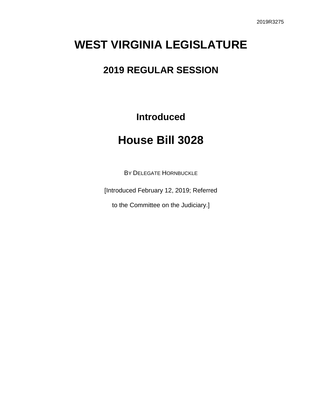# **WEST VIRGINIA LEGISLATURE**

### **2019 REGULAR SESSION**

**Introduced**

## **House Bill 3028**

BY DELEGATE HORNBUCKLE

[Introduced February 12, 2019; Referred

to the Committee on the Judiciary.]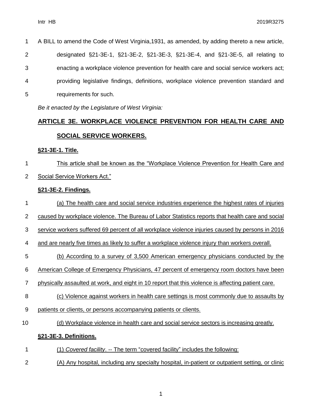| $\mathbf 1$    | A BILL to amend the Code of West Virginia, 1931, as amended, by adding thereto a new article, |
|----------------|-----------------------------------------------------------------------------------------------|
| $\overline{2}$ | designated §21-3E-1, §21-3E-2, §21-3E-3, §21-3E-4, and §21-3E-5, all relating to              |
| 3              | enacting a workplace violence prevention for health care and social service workers act;      |
| $\overline{4}$ | providing legislative findings, definitions, workplace violence prevention standard and       |
| 5              | requirements for such.                                                                        |

*Be it enacted by the Legislature of West Virginia:*

### **ARTICLE 3E. WORKPLACE VIOLENCE PREVENTION FOR HEALTH CARE AND SOCIAL SERVICE WORKERS.**

#### **§21-3E-1. Title.**

 This article shall be known as the "Workplace Violence Prevention for Health Care and Social Service Workers Act."

#### **§21-3E-2. Findings.**

- (a) The health care and social service industries experience the highest rates of injuries
- 2 caused by workplace violence. The Bureau of Labor Statistics reports that health care and social
- service workers suffered 69 percent of all workplace violence injuries caused by persons in 2016

and are nearly five times as likely to suffer a workplace violence injury than workers overall.

- (b) According to a survey of 3,500 American emergency physicians conducted by the
- American College of Emergency Physicians, 47 percent of emergency room doctors have been
- 7 physically assaulted at work, and eight in 10 report that this violence is affecting patient care.
- (c) Violence against workers in health care settings is most commonly due to assaults by
- patients or clients, or persons accompanying patients or clients.
- (d) Workplace violence in health care and social service sectors is increasing greatly.

### **§21-3E-3. Definitions.**

- (1) *Covered facility*. -- The term "covered facility" includes the following:
- (A) Any hospital, including any specialty hospital, in-patient or outpatient setting, or clinic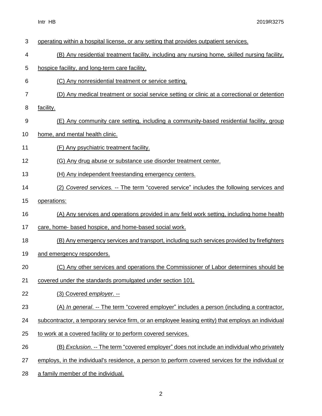- operating within a hospital license, or any setting that provides outpatient services. (B) Any residential treatment facility, including any nursing home, skilled nursing facility, hospice facility, and long-term care facility. (C) Any nonresidential treatment or service setting. (D) Any medical treatment or social service setting or clinic at a correctional or detention facility. (E) Any community care setting, including a community-based residential facility, group home, and mental health clinic. (F) Any psychiatric treatment facility. 12 (G) Any drug abuse or substance use disorder treatment center. (H) Any independent freestanding emergency centers. (2) *Covered services.* -- The term "covered service" includes the following services and operations: (A) Any services and operations provided in any field work setting, including home health 17 care, home- based hospice, and home-based social work. (B) Any emergency services and transport, including such services provided by firefighters 19 and emergency responders. (C) Any other services and operations the Commissioner of Labor determines should be covered under the standards promulgated under section 101. (3) Covered *employer*. -- (A) *In general*. -- The term "covered employer" includes a person (including a contractor, 24 subcontractor, a temporary service firm, or an employee leasing entity) that employs an individual to work at a covered facility or to perform covered services. (B) *Exclusion*. -- The term "covered employer" does not include an individual who privately employs, in the individual's residence, a person to perform covered services for the individual or
- a family member of the individual.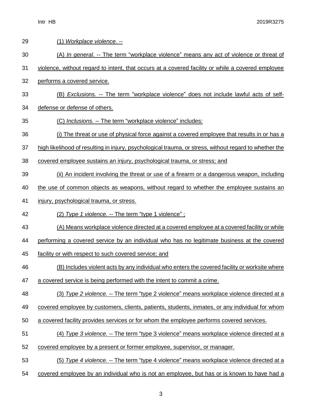| 29 | (1) Workplace violence. --                                                                             |
|----|--------------------------------------------------------------------------------------------------------|
| 30 | (A) In general. -- The term "workplace violence" means any act of violence or threat of                |
| 31 | violence, without regard to intent, that occurs at a covered facility or while a covered employee      |
| 32 | performs a covered service.                                                                            |
| 33 | (B) Exclusions. -- The term "workplace violence" does not include lawful acts of self-                 |
| 34 | defense or defense of others.                                                                          |
| 35 | (C) Inclusions. -- The term "workplace violence" includes:                                             |
| 36 | (i) The threat or use of physical force against a covered employee that results in or has a            |
| 37 | high likelihood of resulting in injury, psychological trauma, or stress, without regard to whether the |
| 38 | covered employee sustains an injury, psychological trauma, or stress; and                              |
| 39 | (ii) An incident involving the threat or use of a firearm or a dangerous weapon, including             |
| 40 | the use of common objects as weapons, without regard to whether the employee sustains an               |
| 41 | injury, psychological trauma, or stress.                                                               |
| 42 | (2) Type 1 violence. -- The term "type 1 violence";                                                    |
| 43 | (A) Means workplace violence directed at a covered employee at a covered facility or while             |
| 44 | performing a covered service by an individual who has no legitimate business at the covered            |
| 45 | facility or with respect to such covered service; and                                                  |
| 46 | (B) Includes violent acts by any individual who enters the covered facility or worksite where          |
| 47 | a covered service is being performed with the intent to commit a crime.                                |
| 48 | (3) Type 2 violence. -- The term "type 2 violence" means workplace violence directed at a              |
| 49 | covered employee by customers, clients, patients, students, inmates, or any individual for whom        |
| 50 | a covered facility provides services or for whom the employee performs covered services.               |
| 51 | (4) Type 3 violence. -- The term "type 3 violence" means workplace violence directed at a              |
| 52 | covered employee by a present or former employee, supervisor, or manager.                              |
| 53 | (5) Type 4 violence. -- The term "type 4 violence" means workplace violence directed at a              |
| 54 | covered employee by an individual who is not an employee, but has or is known to have had a            |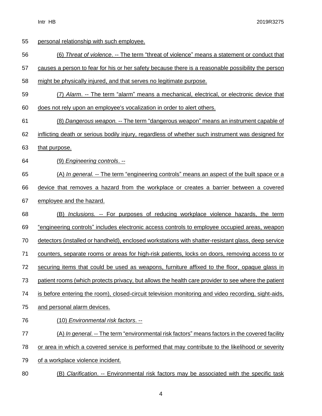| 55 | personal relationship with such employee.                                                            |
|----|------------------------------------------------------------------------------------------------------|
| 56 | (6) Threat of violence. -- The term "threat of violence" means a statement or conduct that           |
| 57 | causes a person to fear for his or her safety because there is a reasonable possibility the person   |
| 58 | might be physically injured, and that serves no legitimate purpose.                                  |
| 59 | (7) Alarm. -- The term "alarm" means a mechanical, electrical, or electronic device that             |
| 60 | does not rely upon an employee's vocalization in order to alert others.                              |
| 61 | (8) Dangerous weapon. -- The term "dangerous weapon" means an instrument capable of                  |
| 62 | inflicting death or serious bodily injury, regardless of whether such instrument was designed for    |
| 63 | that purpose.                                                                                        |
| 64 | (9) Engineering controls. --                                                                         |
| 65 | (A) In general. -- The term "engineering controls" means an aspect of the built space or a           |
| 66 | device that removes a hazard from the workplace or creates a barrier between a covered               |
| 67 | employee and the hazard.                                                                             |
| 68 | <i>Inclusions. --</i> For purposes of reducing workplace violence hazards, the term<br>(B)           |
| 69 | <u>"engineering controls" includes electronic access controls to employee occupied areas, weapon</u> |
| 70 | detectors (installed or handheld), enclosed workstations with shatter-resistant glass, deep service  |
| 71 | counters, separate rooms or areas for high-risk patients, locks on doors, removing access to or      |
| 72 | securing items that could be used as weapons, furniture affixed to the floor, opaque glass in        |
| 73 | patient rooms (which protects privacy, but allows the health care provider to see where the patient  |
| 74 |                                                                                                      |
|    | is before entering the room), closed-circuit television monitoring and video recording, sight-aids,  |
| 75 | and personal alarm devices.                                                                          |
| 76 | (10) Environmental risk factors. --                                                                  |
| 77 | (A) In general. -- The term "environmental risk factors" means factors in the covered facility       |
| 78 | or area in which a covered service is performed that may contribute to the likelihood or severity    |
| 79 | of a workplace violence incident.                                                                    |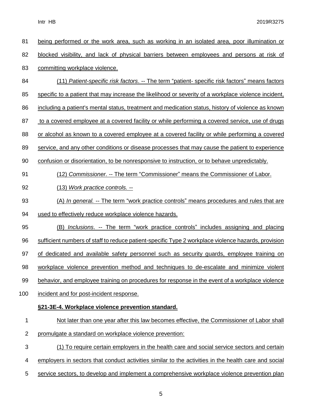Intr HB 2019R3275

| 81             | being performed or the work area, such as working in an isolated area, poor illumination or          |
|----------------|------------------------------------------------------------------------------------------------------|
| 82             | blocked visibility, and lack of physical barriers between employees and persons at risk of           |
| 83             | committing workplace violence.                                                                       |
| 84             | (11) Patient-specific risk factors. -- The term "patient- specific risk factors" means factors       |
| 85             | specific to a patient that may increase the likelihood or severity of a workplace violence incident, |
| 86             | including a patient's mental status, treatment and medication status, history of violence as known   |
| 87             | to a covered employee at a covered facility or while performing a covered service, use of drugs      |
| 88             | or alcohol as known to a covered employee at a covered facility or while performing a covered        |
| 89             | service, and any other conditions or disease processes that may cause the patient to experience      |
| 90             | confusion or disorientation, to be nonresponsive to instruction, or to behave unpredictably.         |
| 91             | (12) Commissioner. -- The term "Commissioner" means the Commissioner of Labor.                       |
| 92             | (13) Work practice controls. --                                                                      |
| 93             | (A) In general. -- The term "work practice controls" means procedures and rules that are             |
| 94             | used to effectively reduce workplace violence hazards.                                               |
| 95             | (B) Inclusions. -- The term "work practice controls" includes assigning and placing                  |
| 96             | sufficient numbers of staff to reduce patient-specific Type 2 workplace violence hazards, provision  |
| 97             | of dedicated and available safety personnel such as security guards, employee training on            |
| 98             | workplace violence prevention method and techniques to de-escalate and minimize violent              |
| 99             | behavior, and employee training on procedures for response in the event of a workplace violence      |
| 100            | incident and for post-incident response.                                                             |
|                | §21-3E-4. Workplace violence prevention standard.                                                    |
| 1              | Not later than one year after this law becomes effective, the Commissioner of Labor shall            |
| $\overline{2}$ | promulgate a standard on workplace violence prevention:                                              |
| 3              | (1) To require certain employers in the health care and social service sectors and certain           |
| 4              | employers in sectors that conduct activities similar to the activities in the health care and social |
| 5              | service sectors, to develop and implement a comprehensive workplace violence prevention plan         |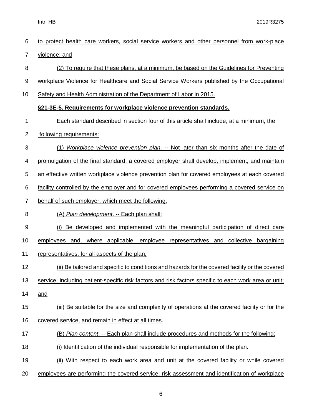| 6              | to protect health care workers, social service workers and other personnel from work-place            |
|----------------|-------------------------------------------------------------------------------------------------------|
| $\overline{7}$ | violence; and                                                                                         |
| 8              | (2) To require that these plans, at a minimum, be based on the Guidelines for Preventing              |
| 9              | workplace Violence for Healthcare and Social Service Workers published by the Occupational            |
| 10             | Safety and Health Administration of the Department of Labor in 2015.                                  |
|                | §21-3E-5. Requirements for workplace violence prevention standards.                                   |
| 1              | Each standard described in section four of this article shall include, at a minimum, the              |
| $\overline{2}$ | following requirements:                                                                               |
| 3              | (1) Workplace violence prevention plan. -- Not later than six months after the date of                |
| 4              | promulgation of the final standard, a covered employer shall develop, implement, and maintain         |
| 5              | an effective written workplace violence prevention plan for covered employees at each covered         |
| 6              | facility controlled by the employer and for covered employees performing a covered service on         |
| $\overline{7}$ | behalf of such employer, which meet the following:                                                    |
| 8              | (A) Plan development. -- Each plan shall:                                                             |
| 9              | (i) Be developed and implemented with the meaningful participation of direct care                     |
| 10             | employees and, where applicable, employee representatives and collective<br>bargaining                |
| 11             | representatives, for all aspects of the plan;                                                         |
| 12             | (ii) Be tailored and specific to conditions and hazards for the covered facility or the covered       |
| 13             | service, including patient-specific risk factors and risk factors specific to each work area or unit; |
| 14             | and                                                                                                   |
| 15             | (iii) Be suitable for the size and complexity of operations at the covered facility or for the        |
| 16             | covered service, and remain in effect at all times.                                                   |
| 17             | (B) Plan content. -- Each plan shall include procedures and methods for the following:                |
| 18             | (i) Identification of the individual responsible for implementation of the plan.                      |
| 19             | (ii) With respect to each work area and unit at the covered facility or while covered                 |
| 20             | employees are performing the covered service, risk assessment and identification of workplace         |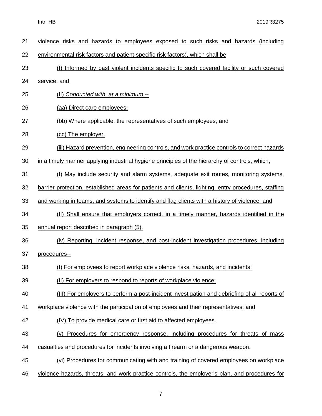Intr HB 2019R3275

| 21 | violence risks and hazards to employees exposed to such risks and hazards (including                 |
|----|------------------------------------------------------------------------------------------------------|
| 22 | environmental risk factors and patient-specific risk factors), which shall be                        |
| 23 | (I) Informed by past violent incidents specific to such covered facility or such covered             |
| 24 | service; and                                                                                         |
| 25 | (II) Conducted with, at a minimum --                                                                 |
| 26 | (aa) Direct care employees;                                                                          |
| 27 | (bb) Where applicable, the representatives of such employees; and                                    |
| 28 | (cc) The employer.                                                                                   |
| 29 | (iii) Hazard prevention, engineering controls, and work practice controls to correct hazards         |
| 30 | in a timely manner applying industrial hygiene principles of the hierarchy of controls, which;       |
| 31 | (I) May include security and alarm systems, adequate exit routes, monitoring systems,                |
| 32 | barrier protection, established areas for patients and clients, lighting, entry procedures, staffing |
| 33 | and working in teams, and systems to identify and flag clients with a history of violence; and       |
| 34 | (II) Shall ensure that employers correct, in a timely manner, hazards identified in the              |
| 35 | annual report described in paragraph (5).                                                            |
| 36 | (iv) Reporting, incident response, and post-incident investigation procedures, including             |
| 37 | procedures--                                                                                         |
| 38 | (I) For employees to report workplace violence risks, hazards, and incidents;                        |
| 39 | (II) For employers to respond to reports of workplace violence;                                      |
| 40 | (III) For employers to perform a post-incident investigation and debriefing of all reports of        |
| 41 | workplace violence with the participation of employees and their representatives; and                |
| 42 | (IV) To provide medical care or first aid to affected employees.                                     |
| 43 | (v) Procedures for emergency response, including procedures for threats of mass                      |
| 44 | casualties and procedures for incidents involving a firearm or a dangerous weapon.                   |
| 45 | (vi) Procedures for communicating with and training of covered employees on workplace                |
| 46 | violence hazards, threats, and work practice controls, the employer's plan, and procedures for       |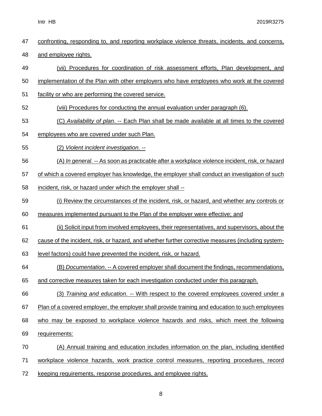| 47 | confronting, responding to, and reporting workplace violence threats, incidents, and concerns,     |
|----|----------------------------------------------------------------------------------------------------|
| 48 | and employee rights.                                                                               |
| 49 | (vii) Procedures for coordination of risk assessment efforts, Plan development, and                |
| 50 | implementation of the Plan with other employers who have employees who work at the covered         |
| 51 | facility or who are performing the covered service.                                                |
| 52 | (viii) Procedures for conducting the annual evaluation under paragraph (6).                        |
| 53 | (C) Availability of plan. -- Each Plan shall be made available at all times to the covered         |
| 54 | employees who are covered under such Plan.                                                         |
| 55 | (2) Violent incident investigation. --                                                             |
| 56 | (A) In general. -- As soon as practicable after a workplace violence incident, risk, or hazard     |
| 57 | of which a covered employer has knowledge, the employer shall conduct an investigation of such     |
| 58 | incident, risk, or hazard under which the employer shall --                                        |
| 59 | (i) Review the circumstances of the incident, risk, or hazard, and whether any controls or         |
| 60 | measures implemented pursuant to the Plan of the employer were effective; and                      |
| 61 | (ii) Solicit input from involved employees, their representatives, and supervisors, about the      |
| 62 | cause of the incident, risk, or hazard, and whether further corrective measures (including system- |
| 63 | level factors) could have prevented the incident, risk, or hazard.                                 |
| 64 | (B) Documentation. -- A covered employer shall document the findings, recommendations,             |
| 65 | and corrective measures taken for each investigation conducted under this paragraph.               |
| 66 | (3) Training and education. -- With respect to the covered employees covered under a               |
| 67 | Plan of a covered employer, the employer shall provide training and education to such employees    |
| 68 | who may be exposed to workplace violence hazards and risks, which meet the following               |
| 69 | requirements:                                                                                      |
| 70 | (A) Annual training and education includes information on the plan, including identified           |
| 71 | workplace violence hazards, work practice control measures, reporting procedures, record           |
| 72 | keeping requirements, response procedures, and employee rights.                                    |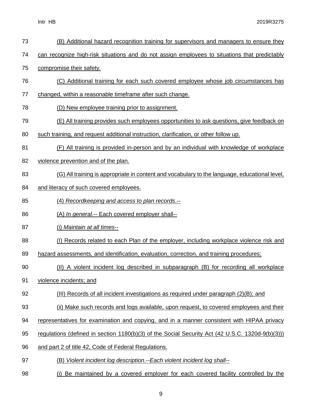| 73 | (B) Additional hazard recognition training for supervisors and managers to ensure they           |
|----|--------------------------------------------------------------------------------------------------|
| 74 | can recognize high-risk situations and do not assign employees to situations that predictably    |
| 75 | compromise their safety.                                                                         |
| 76 | (C) Additional training for each such covered employee whose job circumstances has               |
| 77 | changed, within a reasonable timeframe after such change.                                        |
| 78 | (D) New employee training prior to assignment.                                                   |
| 79 | (E) All training provides such employees opportunities to ask questions, give feedback on        |
| 80 | such training, and request additional instruction, clarification, or other follow up.            |
| 81 | (F) All training is provided in-person and by an individual with knowledge of workplace          |
| 82 | violence prevention and of the plan.                                                             |
| 83 | (G) All training is appropriate in content and vocabulary to the language, educational level,    |
| 84 | and literacy of such covered employees.                                                          |
| 85 | (4) Recordkeeping and access to plan records.--                                                  |
| 86 | (A) In general -- Each covered employer shall--                                                  |
| 87 | (i) Maintain at all times--                                                                      |
| 88 | (I) Records related to each Plan of the employer, including workplace violence risk and          |
| 89 | hazard assessments, and identification, evaluation, correction, and training procedures;         |
| 90 | (II) A violent incident log described in subparagraph (B) for recording all workplace            |
| 91 | violence incidents; and                                                                          |
| 92 | (III) Records of all incident investigations as required under paragraph (2)(B); and             |
| 93 | (ii) Make such records and logs available, upon request, to covered employees and their          |
| 94 | representatives for examination and copying, and in a manner consistent with HIPAA privacy       |
| 95 | regulations (defined in section 1180(b)(3) of the Social Security Act (42 U.S.C. 1320d-9(b)(3))) |
| 96 | and part 2 of title 42, Code of Federal Regulations.                                             |
| 97 | (B) Violent incident log description.--Each violent incident log shall--                         |
| 98 | (i) Be maintained by a covered employer for each covered facility controlled by the              |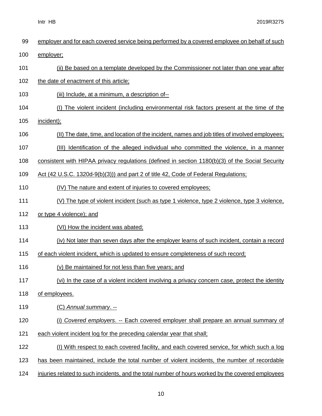|  | Intr | HВ |
|--|------|----|
|--|------|----|

2019R3275

| 99  | employer and for each covered service being performed by a covered employee on behalf of such     |
|-----|---------------------------------------------------------------------------------------------------|
| 100 | employer;                                                                                         |
| 101 | (ii) Be based on a template developed by the Commissioner not later than one year after           |
| 102 | the date of enactment of this article;                                                            |
| 103 | (iii) Include, at a minimum, a description of--                                                   |
| 104 | (I) The violent incident (including environmental risk factors present at the time of the         |
| 105 | incident);                                                                                        |
| 106 | (II) The date, time, and location of the incident, names and job titles of involved employees;    |
| 107 | (III) Identification of the alleged individual who committed the violence, in a manner            |
| 108 | consistent with HIPAA privacy regulations (defined in section $1180(b)(3)$ of the Social Security |
| 109 | Act (42 U.S.C. 1320d-9(b)(3))) and part 2 of title 42, Code of Federal Regulations;               |
| 110 | (IV) The nature and extent of injuries to covered employees;                                      |
| 111 | (V) The type of violent incident (such as type 1 violence, type 2 violence, type 3 violence,      |
| 112 | or type 4 violence); and                                                                          |
| 113 | (VI) How the incident was abated;                                                                 |
| 114 | (iv) Not later than seven days after the employer learns of such incident, contain a record       |
| 115 | of each violent incident, which is updated to ensure completeness of such record;                 |
| 116 | (v) Be maintained for not less than five years; and                                               |
| 117 | (vi) In the case of a violent incident involving a privacy concern case, protect the identity     |
| 118 | of employees.                                                                                     |
| 119 | (C) Annual summary. --                                                                            |
| 120 | (i) Covered employers. -- Each covered employer shall prepare an annual summary of                |
| 121 | each violent incident log for the preceding calendar year that shall;                             |
| 122 | (I) With respect to each covered facility, and each covered service, for which such a log         |
| 123 | has been maintained, include the total number of violent incidents, the number of recordable      |
| 124 | injuries related to such incidents, and the total number of hours worked by the covered employees |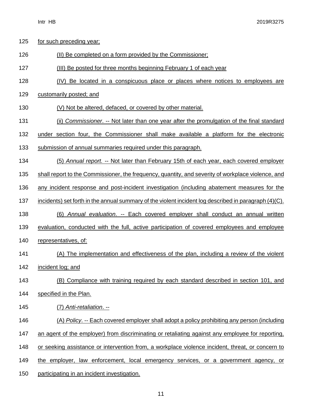125 for such preceding year;

| 126 | (II) Be completed on a form provided by the Commissioner;                                                |
|-----|----------------------------------------------------------------------------------------------------------|
| 127 | (III) Be posted for three months beginning February 1 of each year                                       |
| 128 | (IV) Be located in a conspicuous place or places where notices to employees are                          |
| 129 | customarily posted; and                                                                                  |
| 130 | (V) Not be altered, defaced, or covered by other material.                                               |
| 131 | (ii) Commissioner. -- Not later than one year after the promulgation of the final standard               |
| 132 | under section four, the Commissioner shall make available a platform for the electronic                  |
| 133 | submission of annual summaries required under this paragraph.                                            |
| 134 | (5) Annual report. -- Not later than February 15th of each year, each covered employer                   |
| 135 | shall report to the Commissioner, the frequency, quantity, and severity of workplace violence, and       |
| 136 | any incident response and post-incident investigation (including abatement measures for the              |
| 137 | incidents) set forth in the annual summary of the violent incident log described in paragraph $(4)(C)$ . |
| 138 | (6) Annual evaluation. -- Each covered employer shall conduct an annual written                          |
| 139 | evaluation, conducted with the full, active participation of covered employees and employee              |
| 140 | representatives, of:                                                                                     |
| 141 | (A) The implementation and effectiveness of the plan, including a review of the violent                  |
| 142 | incident log; and                                                                                        |
| 143 | (B) Compliance with training required by each standard described in section 101, and                     |
| 144 | specified in the Plan.                                                                                   |
| 145 | (7) Anti-retaliation. --                                                                                 |
| 146 | (A) Policy. -- Each covered employer shall adopt a policy prohibiting any person (including              |
| 147 | an agent of the employer) from discriminating or retaliating against any employee for reporting,         |
| 148 | or seeking assistance or intervention from, a workplace violence incident, threat, or concern to         |
| 149 | the employer, law enforcement, local emergency services, or a government agency, or                      |
|     |                                                                                                          |

participating in an incident investigation.